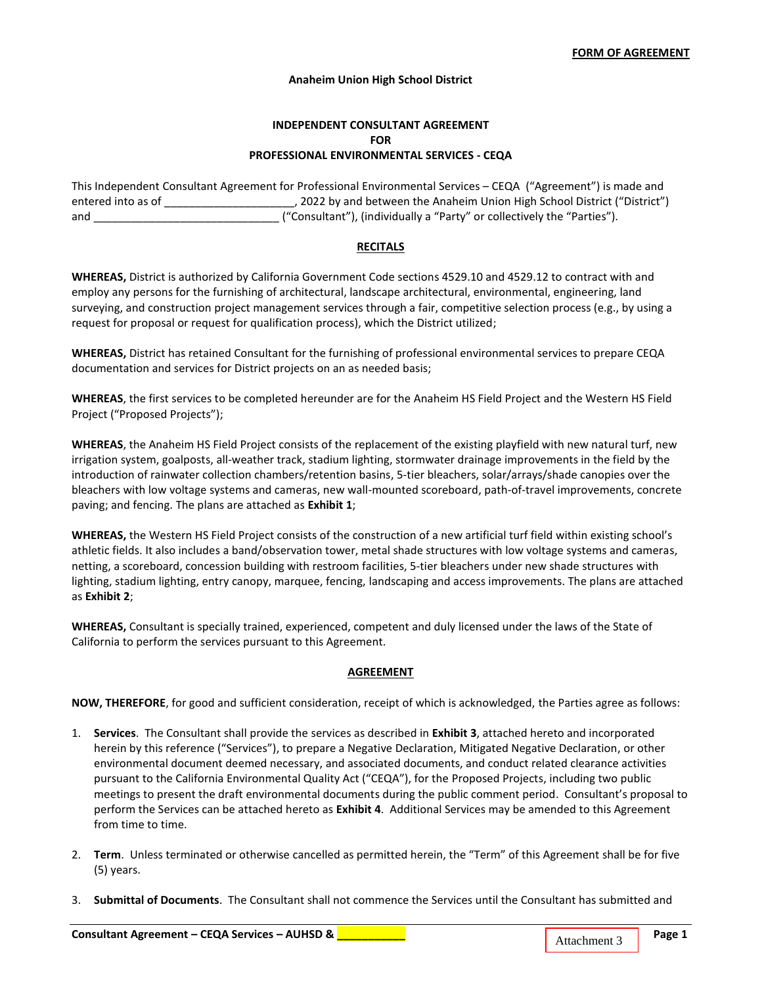## **Anaheim Union High School District**

# **INDEPENDENT CONSULTANT AGREEMENT FOR PROFESSIONAL ENVIRONMENTAL SERVICES - CEQA**

This Independent Consultant Agreement for Professional Environmental Services – CEQA ("Agreement") is made and entered into as of \_\_\_\_\_\_\_\_\_\_\_\_\_\_\_\_\_\_\_\_\_, 2022 by and between the Anaheim Union High School District ("District") and \_\_\_\_\_\_\_\_\_\_\_\_\_\_\_\_\_\_\_\_\_\_\_\_\_\_\_\_\_\_ ("Consultant"), (individually a "Party" or collectively the "Parties").

#### **RECITALS**

**WHEREAS,** District is authorized by California Government Code sections 4529.10 and 4529.12 to contract with and employ any persons for the furnishing of architectural, landscape architectural, environmental, engineering, land surveying, and construction project management services through a fair, competitive selection process (e.g., by using a request for proposal or request for qualification process), which the District utilized;

**WHEREAS,** District has retained Consultant for the furnishing of professional environmental services to prepare CEQA documentation and services for District projects on an as needed basis;

**WHEREAS**, the first services to be completed hereunder are for the Anaheim HS Field Project and the Western HS Field Project ("Proposed Projects");

**WHEREAS**, the Anaheim HS Field Project consists of the replacement of the existing playfield with new natural turf, new irrigation system, goalposts, all-weather track, stadium lighting, stormwater drainage improvements in the field by the introduction of rainwater collection chambers/retention basins, 5-tier bleachers, solar/arrays/shade canopies over the bleachers with low voltage systems and cameras, new wall-mounted scoreboard, path-of-travel improvements, concrete paving; and fencing. The plans are attached as **Exhibit 1**;

**WHEREAS,** the Western HS Field Project consists of the construction of a new artificial turf field within existing school's athletic fields. It also includes a band/observation tower, metal shade structures with low voltage systems and cameras, netting, a scoreboard, concession building with restroom facilities, 5-tier bleachers under new shade structures with lighting, stadium lighting, entry canopy, marquee, fencing, landscaping and access improvements. The plans are attached as **Exhibit 2**;

**WHEREAS,** Consultant is specially trained, experienced, competent and duly licensed under the laws of the State of California to perform the services pursuant to this Agreement.

### **AGREEMENT**

**NOW, THEREFORE**, for good and sufficient consideration, receipt of which is acknowledged, the Parties agree as follows:

- 1. **Services**. The Consultant shall provide the services as described in **Exhibit 3**, attached hereto and incorporated herein by this reference ("Services"), to prepare a Negative Declaration, Mitigated Negative Declaration, or other environmental document deemed necessary, and associated documents, and conduct related clearance activities pursuant to the California Environmental Quality Act ("CEQA"), for the Proposed Projects, including two public meetings to present the draft environmental documents during the public comment period. Consultant's proposal to perform the Services can be attached hereto as **Exhibit 4**. Additional Services may be amended to this Agreement from time to time.
- 2. **Term**. Unless terminated or otherwise cancelled as permitted herein, the "Term" of this Agreement shall be for five (5) years.
- 3. **Submittal of Documents**. The Consultant shall not commence the Services until the Consultant has submitted and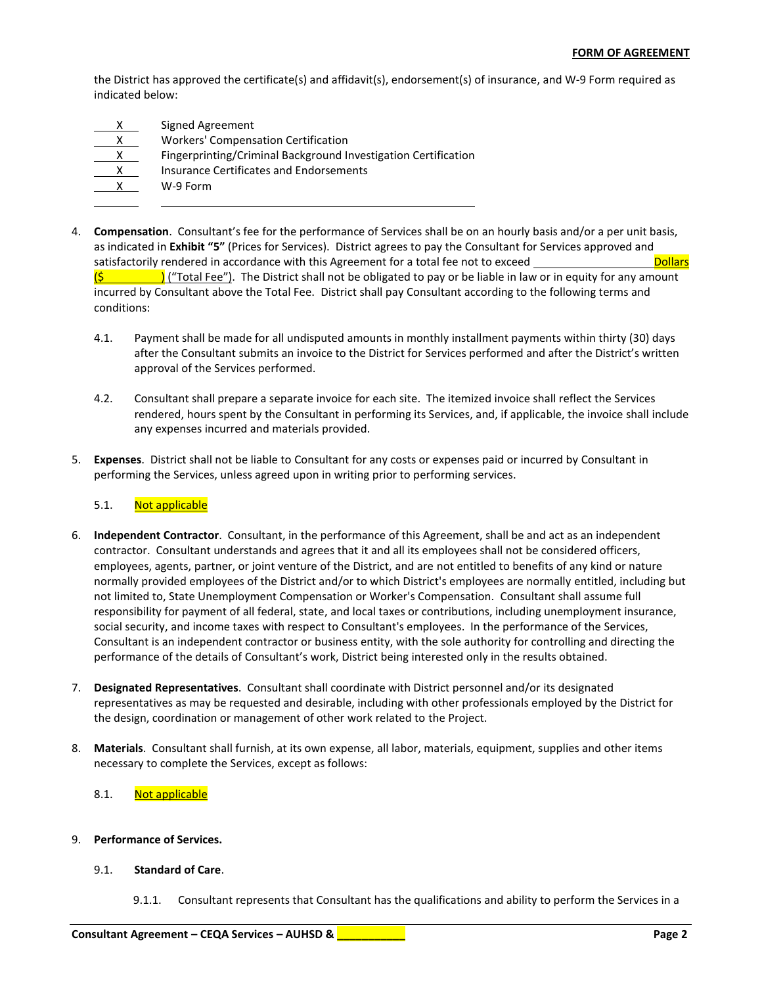the District has approved the certificate(s) and affidavit(s), endorsement(s) of insurance, and W-9 Form required as indicated below:

|   | Signed Agreement                                               |
|---|----------------------------------------------------------------|
|   | <b>Workers' Compensation Certification</b>                     |
|   | Fingerprinting/Criminal Background Investigation Certification |
| x | Insurance Certificates and Endorsements                        |
|   | W-9 Form                                                       |
|   |                                                                |

- 4. **Compensation**. Consultant's fee for the performance of Services shall be on an hourly basis and/or a per unit basis, as indicated in **Exhibit "5"** (Prices for Services). District agrees to pay the Consultant for Services approved and satisfactorily rendered in accordance with this Agreement for a total fee not to exceed Dollars  $\frac{1}{2}$  ("Total Fee"). The District shall not be obligated to pay or be liable in law or in equity for any amount incurred by Consultant above the Total Fee. District shall pay Consultant according to the following terms and conditions:
	- 4.1. Payment shall be made for all undisputed amounts in monthly installment payments within thirty (30) days after the Consultant submits an invoice to the District for Services performed and after the District's written approval of the Services performed.
	- 4.2. Consultant shall prepare a separate invoice for each site. The itemized invoice shall reflect the Services rendered, hours spent by the Consultant in performing its Services, and, if applicable, the invoice shall include any expenses incurred and materials provided.
- 5. **Expenses**. District shall not be liable to Consultant for any costs or expenses paid or incurred by Consultant in performing the Services, unless agreed upon in writing prior to performing services.

# 5.1. Not applicable

- 6. **Independent Contractor**. Consultant, in the performance of this Agreement, shall be and act as an independent contractor. Consultant understands and agrees that it and all its employees shall not be considered officers, employees, agents, partner, or joint venture of the District, and are not entitled to benefits of any kind or nature normally provided employees of the District and/or to which District's employees are normally entitled, including but not limited to, State Unemployment Compensation or Worker's Compensation. Consultant shall assume full responsibility for payment of all federal, state, and local taxes or contributions, including unemployment insurance, social security, and income taxes with respect to Consultant's employees. In the performance of the Services, Consultant is an independent contractor or business entity, with the sole authority for controlling and directing the performance of the details of Consultant's work, District being interested only in the results obtained.
- 7. **Designated Representatives**. Consultant shall coordinate with District personnel and/or its designated representatives as may be requested and desirable, including with other professionals employed by the District for the design, coordination or management of other work related to the Project.
- 8. **Materials**. Consultant shall furnish, at its own expense, all labor, materials, equipment, supplies and other items necessary to complete the Services, except as follows:

# 8.1. Not applicable

# 9. **Performance of Services.**

# 9.1. **Standard of Care**.

9.1.1. Consultant represents that Consultant has the qualifications and ability to perform the Services in a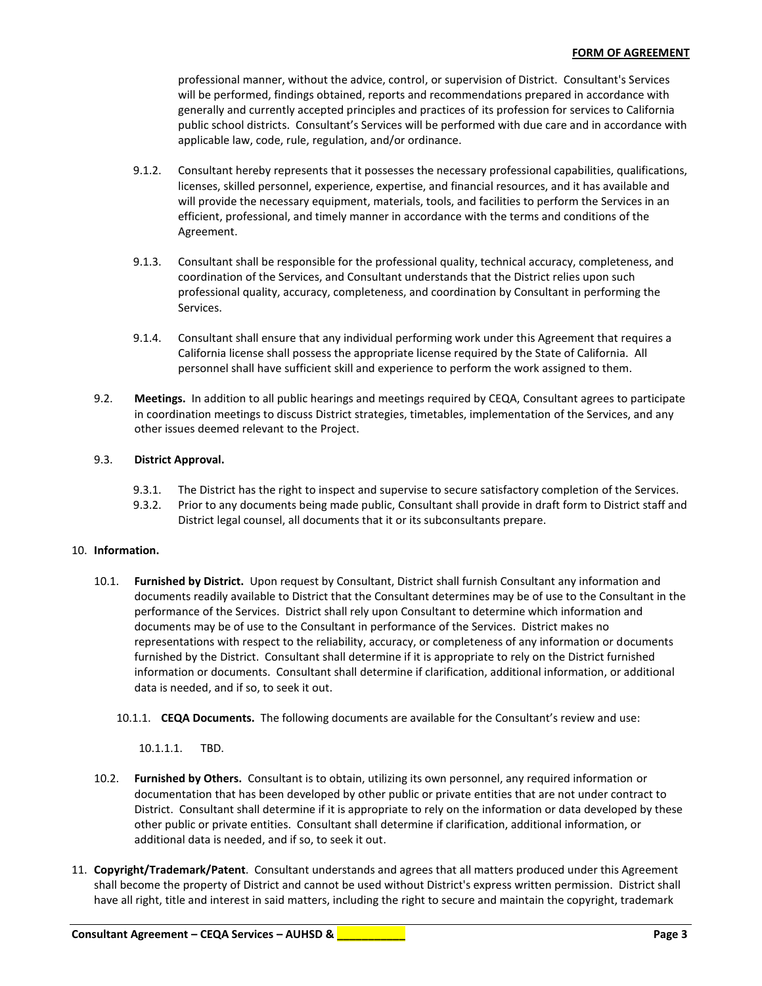professional manner, without the advice, control, or supervision of District. Consultant's Services will be performed, findings obtained, reports and recommendations prepared in accordance with generally and currently accepted principles and practices of its profession for services to California public school districts. Consultant's Services will be performed with due care and in accordance with applicable law, code, rule, regulation, and/or ordinance.

- 9.1.2. Consultant hereby represents that it possesses the necessary professional capabilities, qualifications, licenses, skilled personnel, experience, expertise, and financial resources, and it has available and will provide the necessary equipment, materials, tools, and facilities to perform the Services in an efficient, professional, and timely manner in accordance with the terms and conditions of the Agreement.
- 9.1.3. Consultant shall be responsible for the professional quality, technical accuracy, completeness, and coordination of the Services, and Consultant understands that the District relies upon such professional quality, accuracy, completeness, and coordination by Consultant in performing the Services.
- 9.1.4. Consultant shall ensure that any individual performing work under this Agreement that requires a California license shall possess the appropriate license required by the State of California. All personnel shall have sufficient skill and experience to perform the work assigned to them.
- 9.2. **Meetings.** In addition to all public hearings and meetings required by CEQA, Consultant agrees to participate in coordination meetings to discuss District strategies, timetables, implementation of the Services, and any other issues deemed relevant to the Project.

# 9.3. **District Approval.**

- 9.3.1. The District has the right to inspect and supervise to secure satisfactory completion of the Services.
- 9.3.2. Prior to any documents being made public, Consultant shall provide in draft form to District staff and District legal counsel, all documents that it or its subconsultants prepare.

# 10. **Information.**

- 10.1. **Furnished by District.** Upon request by Consultant, District shall furnish Consultant any information and documents readily available to District that the Consultant determines may be of use to the Consultant in the performance of the Services. District shall rely upon Consultant to determine which information and documents may be of use to the Consultant in performance of the Services. District makes no representations with respect to the reliability, accuracy, or completeness of any information or documents furnished by the District. Consultant shall determine if it is appropriate to rely on the District furnished information or documents. Consultant shall determine if clarification, additional information, or additional data is needed, and if so, to seek it out.
	- 10.1.1. **CEQA Documents.** The following documents are available for the Consultant's review and use:

10.1.1.1. TBD.

- 10.2. **Furnished by Others.** Consultant is to obtain, utilizing its own personnel, any required information or documentation that has been developed by other public or private entities that are not under contract to District. Consultant shall determine if it is appropriate to rely on the information or data developed by these other public or private entities. Consultant shall determine if clarification, additional information, or additional data is needed, and if so, to seek it out.
- 11. **Copyright/Trademark/Patent**. Consultant understands and agrees that all matters produced under this Agreement shall become the property of District and cannot be used without District's express written permission. District shall have all right, title and interest in said matters, including the right to secure and maintain the copyright, trademark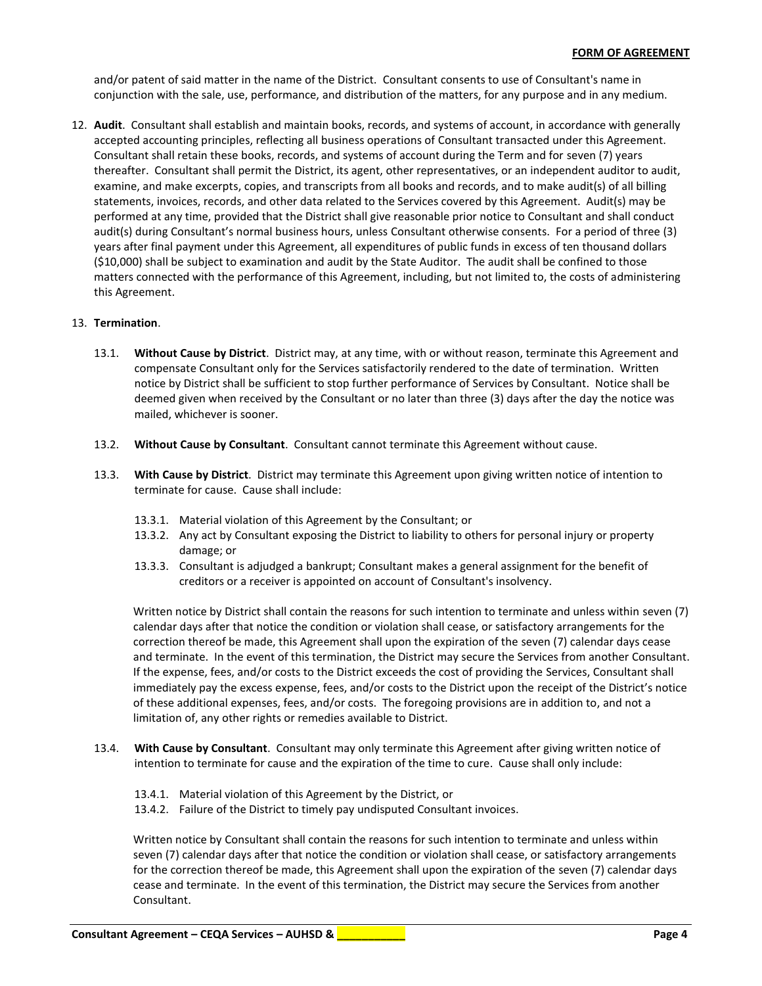and/or patent of said matter in the name of the District. Consultant consents to use of Consultant's name in conjunction with the sale, use, performance, and distribution of the matters, for any purpose and in any medium.

12. **Audit**. Consultant shall establish and maintain books, records, and systems of account, in accordance with generally accepted accounting principles, reflecting all business operations of Consultant transacted under this Agreement. Consultant shall retain these books, records, and systems of account during the Term and for seven (7) years thereafter. Consultant shall permit the District, its agent, other representatives, or an independent auditor to audit, examine, and make excerpts, copies, and transcripts from all books and records, and to make audit(s) of all billing statements, invoices, records, and other data related to the Services covered by this Agreement. Audit(s) may be performed at any time, provided that the District shall give reasonable prior notice to Consultant and shall conduct audit(s) during Consultant's normal business hours, unless Consultant otherwise consents. For a period of three (3) years after final payment under this Agreement, all expenditures of public funds in excess of ten thousand dollars (\$10,000) shall be subject to examination and audit by the State Auditor. The audit shall be confined to those matters connected with the performance of this Agreement, including, but not limited to, the costs of administering this Agreement.

## 13. **Termination**.

- 13.1. **Without Cause by District**. District may, at any time, with or without reason, terminate this Agreement and compensate Consultant only for the Services satisfactorily rendered to the date of termination. Written notice by District shall be sufficient to stop further performance of Services by Consultant. Notice shall be deemed given when received by the Consultant or no later than three (3) days after the day the notice was mailed, whichever is sooner.
- 13.2. **Without Cause by Consultant**. Consultant cannot terminate this Agreement without cause.
- 13.3. **With Cause by District**. District may terminate this Agreement upon giving written notice of intention to terminate for cause. Cause shall include:
	- 13.3.1. Material violation of this Agreement by the Consultant; or
	- 13.3.2. Any act by Consultant exposing the District to liability to others for personal injury or property damage; or
	- 13.3.3. Consultant is adjudged a bankrupt; Consultant makes a general assignment for the benefit of creditors or a receiver is appointed on account of Consultant's insolvency.

Written notice by District shall contain the reasons for such intention to terminate and unless within seven (7) calendar days after that notice the condition or violation shall cease, or satisfactory arrangements for the correction thereof be made, this Agreement shall upon the expiration of the seven (7) calendar days cease and terminate. In the event of this termination, the District may secure the Services from another Consultant. If the expense, fees, and/or costs to the District exceeds the cost of providing the Services, Consultant shall immediately pay the excess expense, fees, and/or costs to the District upon the receipt of the District's notice of these additional expenses, fees, and/or costs. The foregoing provisions are in addition to, and not a limitation of, any other rights or remedies available to District.

- 13.4. **With Cause by Consultant**. Consultant may only terminate this Agreement after giving written notice of intention to terminate for cause and the expiration of the time to cure. Cause shall only include:
	- 13.4.1. Material violation of this Agreement by the District, or
	- 13.4.2. Failure of the District to timely pay undisputed Consultant invoices.

Written notice by Consultant shall contain the reasons for such intention to terminate and unless within seven (7) calendar days after that notice the condition or violation shall cease, or satisfactory arrangements for the correction thereof be made, this Agreement shall upon the expiration of the seven (7) calendar days cease and terminate. In the event of this termination, the District may secure the Services from another Consultant.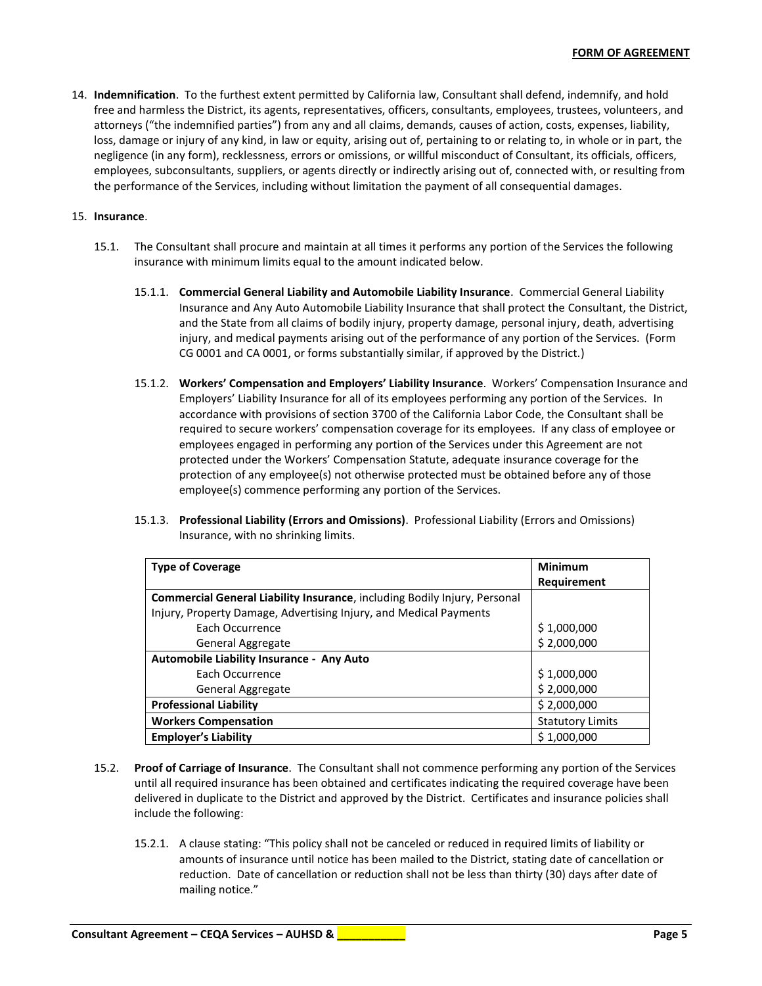14. **Indemnification**. To the furthest extent permitted by California law, Consultant shall defend, indemnify, and hold free and harmless the District, its agents, representatives, officers, consultants, employees, trustees, volunteers, and attorneys ("the indemnified parties") from any and all claims, demands, causes of action, costs, expenses, liability, loss, damage or injury of any kind, in law or equity, arising out of, pertaining to or relating to, in whole or in part, the negligence (in any form), recklessness, errors or omissions, or willful misconduct of Consultant, its officials, officers, employees, subconsultants, suppliers, or agents directly or indirectly arising out of, connected with, or resulting from the performance of the Services, including without limitation the payment of all consequential damages.

## 15. **Insurance**.

- 15.1. The Consultant shall procure and maintain at all times it performs any portion of the Services the following insurance with minimum limits equal to the amount indicated below.
	- 15.1.1. **Commercial General Liability and Automobile Liability Insurance**. Commercial General Liability Insurance and Any Auto Automobile Liability Insurance that shall protect the Consultant, the District, and the State from all claims of bodily injury, property damage, personal injury, death, advertising injury, and medical payments arising out of the performance of any portion of the Services. (Form CG 0001 and CA 0001, or forms substantially similar, if approved by the District.)
	- 15.1.2. **Workers' Compensation and Employers' Liability Insurance**. Workers' Compensation Insurance and Employers' Liability Insurance for all of its employees performing any portion of the Services. In accordance with provisions of section 3700 of the California Labor Code, the Consultant shall be required to secure workers' compensation coverage for its employees. If any class of employee or employees engaged in performing any portion of the Services under this Agreement are not protected under the Workers' Compensation Statute, adequate insurance coverage for the protection of any employee(s) not otherwise protected must be obtained before any of those employee(s) commence performing any portion of the Services.
	- 15.1.3. **Professional Liability (Errors and Omissions)**. Professional Liability (Errors and Omissions) Insurance, with no shrinking limits.

| <b>Type of Coverage</b>                                                          | <b>Minimum</b>          |
|----------------------------------------------------------------------------------|-------------------------|
|                                                                                  | Requirement             |
| <b>Commercial General Liability Insurance, including Bodily Injury, Personal</b> |                         |
| Injury, Property Damage, Advertising Injury, and Medical Payments                |                         |
| Each Occurrence                                                                  | \$1,000,000             |
| General Aggregate                                                                | \$2,000,000             |
| Automobile Liability Insurance - Any Auto                                        |                         |
| Each Occurrence                                                                  | \$1,000,000             |
| General Aggregate                                                                | \$2,000,000             |
| <b>Professional Liability</b>                                                    | \$2,000,000             |
| <b>Workers Compensation</b>                                                      | <b>Statutory Limits</b> |
| <b>Employer's Liability</b>                                                      | \$1,000,000             |

- 15.2. **Proof of Carriage of Insurance**. The Consultant shall not commence performing any portion of the Services until all required insurance has been obtained and certificates indicating the required coverage have been delivered in duplicate to the District and approved by the District. Certificates and insurance policies shall include the following:
	- 15.2.1. A clause stating: "This policy shall not be canceled or reduced in required limits of liability or amounts of insurance until notice has been mailed to the District, stating date of cancellation or reduction. Date of cancellation or reduction shall not be less than thirty (30) days after date of mailing notice."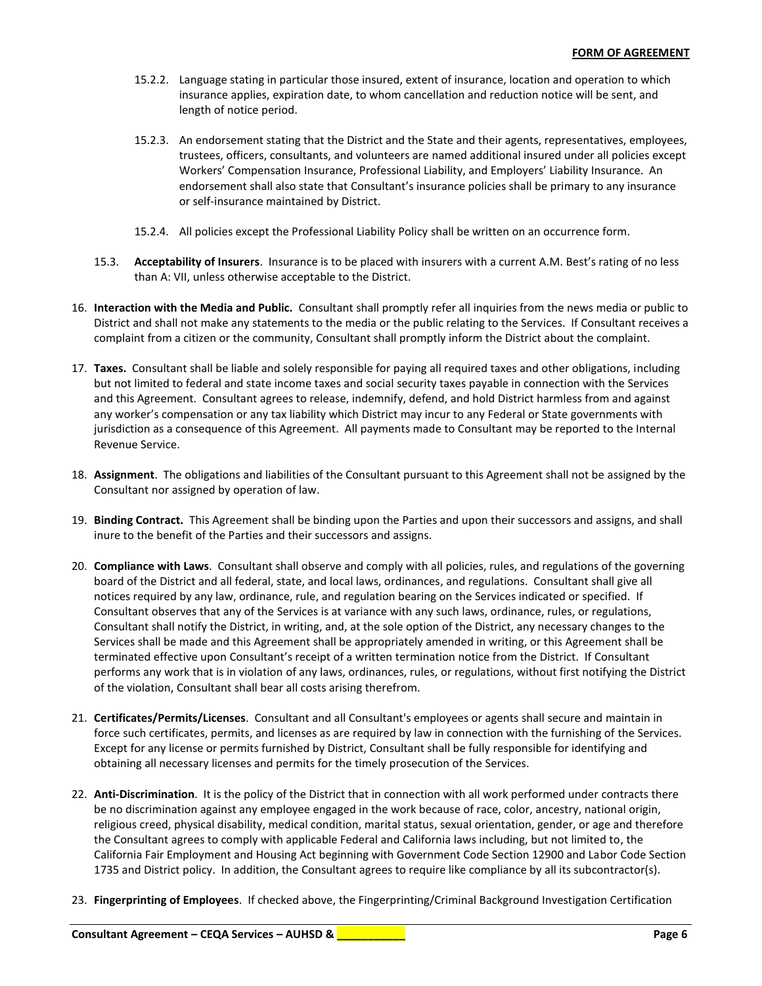- 15.2.2. Language stating in particular those insured, extent of insurance, location and operation to which insurance applies, expiration date, to whom cancellation and reduction notice will be sent, and length of notice period.
- 15.2.3. An endorsement stating that the District and the State and their agents, representatives, employees, trustees, officers, consultants, and volunteers are named additional insured under all policies except Workers' Compensation Insurance, Professional Liability, and Employers' Liability Insurance. An endorsement shall also state that Consultant's insurance policies shall be primary to any insurance or self-insurance maintained by District.
- 15.2.4. All policies except the Professional Liability Policy shall be written on an occurrence form.
- 15.3. **Acceptability of Insurers**. Insurance is to be placed with insurers with a current A.M. Best's rating of no less than A: VII, unless otherwise acceptable to the District.
- 16. **Interaction with the Media and Public.** Consultant shall promptly refer all inquiries from the news media or public to District and shall not make any statements to the media or the public relating to the Services. If Consultant receives a complaint from a citizen or the community, Consultant shall promptly inform the District about the complaint.
- 17. **Taxes.** Consultant shall be liable and solely responsible for paying all required taxes and other obligations, including but not limited to federal and state income taxes and social security taxes payable in connection with the Services and this Agreement. Consultant agrees to release, indemnify, defend, and hold District harmless from and against any worker's compensation or any tax liability which District may incur to any Federal or State governments with jurisdiction as a consequence of this Agreement. All payments made to Consultant may be reported to the Internal Revenue Service.
- 18. **Assignment**. The obligations and liabilities of the Consultant pursuant to this Agreement shall not be assigned by the Consultant nor assigned by operation of law.
- 19. **Binding Contract.** This Agreement shall be binding upon the Parties and upon their successors and assigns, and shall inure to the benefit of the Parties and their successors and assigns.
- 20. **Compliance with Laws**. Consultant shall observe and comply with all policies, rules, and regulations of the governing board of the District and all federal, state, and local laws, ordinances, and regulations. Consultant shall give all notices required by any law, ordinance, rule, and regulation bearing on the Services indicated or specified. If Consultant observes that any of the Services is at variance with any such laws, ordinance, rules, or regulations, Consultant shall notify the District, in writing, and, at the sole option of the District, any necessary changes to the Services shall be made and this Agreement shall be appropriately amended in writing, or this Agreement shall be terminated effective upon Consultant's receipt of a written termination notice from the District. If Consultant performs any work that is in violation of any laws, ordinances, rules, or regulations, without first notifying the District of the violation, Consultant shall bear all costs arising therefrom.
- 21. **Certificates/Permits/Licenses**. Consultant and all Consultant's employees or agents shall secure and maintain in force such certificates, permits, and licenses as are required by law in connection with the furnishing of the Services. Except for any license or permits furnished by District, Consultant shall be fully responsible for identifying and obtaining all necessary licenses and permits for the timely prosecution of the Services.
- 22. **Anti-Discrimination**. It is the policy of the District that in connection with all work performed under contracts there be no discrimination against any employee engaged in the work because of race, color, ancestry, national origin, religious creed, physical disability, medical condition, marital status, sexual orientation, gender, or age and therefore the Consultant agrees to comply with applicable Federal and California laws including, but not limited to, the California Fair Employment and Housing Act beginning with Government Code Section 12900 and Labor Code Section 1735 and District policy. In addition, the Consultant agrees to require like compliance by all its subcontractor(s).
- 23. **Fingerprinting of Employees**.If checked above, the Fingerprinting/Criminal Background Investigation Certification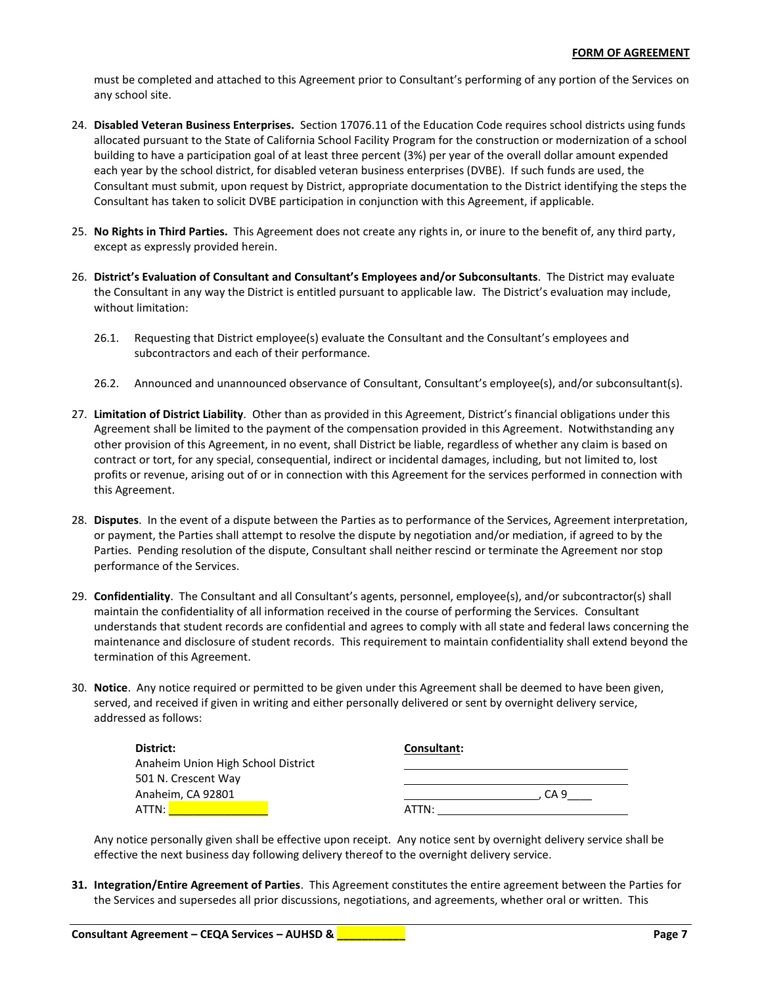must be completed and attached to this Agreement prior to Consultant's performing of any portion of the Services on any school site.

- 24. **Disabled Veteran Business Enterprises.** Section 17076.11 of the Education Code requires school districts using funds allocated pursuant to the State of California School Facility Program for the construction or modernization of a school building to have a participation goal of at least three percent (3%) per year of the overall dollar amount expended each year by the school district, for disabled veteran business enterprises (DVBE). If such funds are used, the Consultant must submit, upon request by District, appropriate documentation to the District identifying the steps the Consultant has taken to solicit DVBE participation in conjunction with this Agreement, if applicable.
- 25. **No Rights in Third Parties.** This Agreement does not create any rights in, or inure to the benefit of, any third party, except as expressly provided herein.
- 26. **District's Evaluation of Consultant and Consultant's Employees and/or Subconsultants**. The District may evaluate the Consultant in any way the District is entitled pursuant to applicable law. The District's evaluation may include, without limitation:
	- 26.1. Requesting that District employee(s) evaluate the Consultant and the Consultant's employees and subcontractors and each of their performance.
	- 26.2. Announced and unannounced observance of Consultant, Consultant's employee(s), and/or subconsultant(s).
- 27. **Limitation of District Liability**. Other than as provided in this Agreement, District's financial obligations under this Agreement shall be limited to the payment of the compensation provided in this Agreement. Notwithstanding any other provision of this Agreement, in no event, shall District be liable, regardless of whether any claim is based on contract or tort, for any special, consequential, indirect or incidental damages, including, but not limited to, lost profits or revenue, arising out of or in connection with this Agreement for the services performed in connection with this Agreement.
- 28. **Disputes**. In the event of a dispute between the Parties as to performance of the Services, Agreement interpretation, or payment, the Parties shall attempt to resolve the dispute by negotiation and/or mediation, if agreed to by the Parties. Pending resolution of the dispute, Consultant shall neither rescind or terminate the Agreement nor stop performance of the Services.
- 29. **Confidentiality**. The Consultant and all Consultant's agents, personnel, employee(s), and/or subcontractor(s) shall maintain the confidentiality of all information received in the course of performing the Services. Consultant understands that student records are confidential and agrees to comply with all state and federal laws concerning the maintenance and disclosure of student records. This requirement to maintain confidentiality shall extend beyond the termination of this Agreement.
- 30. **Notice**. Any notice required or permitted to be given under this Agreement shall be deemed to have been given, served, and received if given in writing and either personally delivered or sent by overnight delivery service, addressed as follows:

| District:                          | Consultant: |
|------------------------------------|-------------|
| Anaheim Union High School District |             |
| 501 N. Crescent Way                |             |
| Anaheim, CA 92801                  | CA 9        |
| ATTN:                              | ATTN:       |

Any notice personally given shall be effective upon receipt. Any notice sent by overnight delivery service shall be effective the next business day following delivery thereof to the overnight delivery service.

**31. Integration/Entire Agreement of Parties**. This Agreement constitutes the entire agreement between the Parties for the Services and supersedes all prior discussions, negotiations, and agreements, whether oral or written. This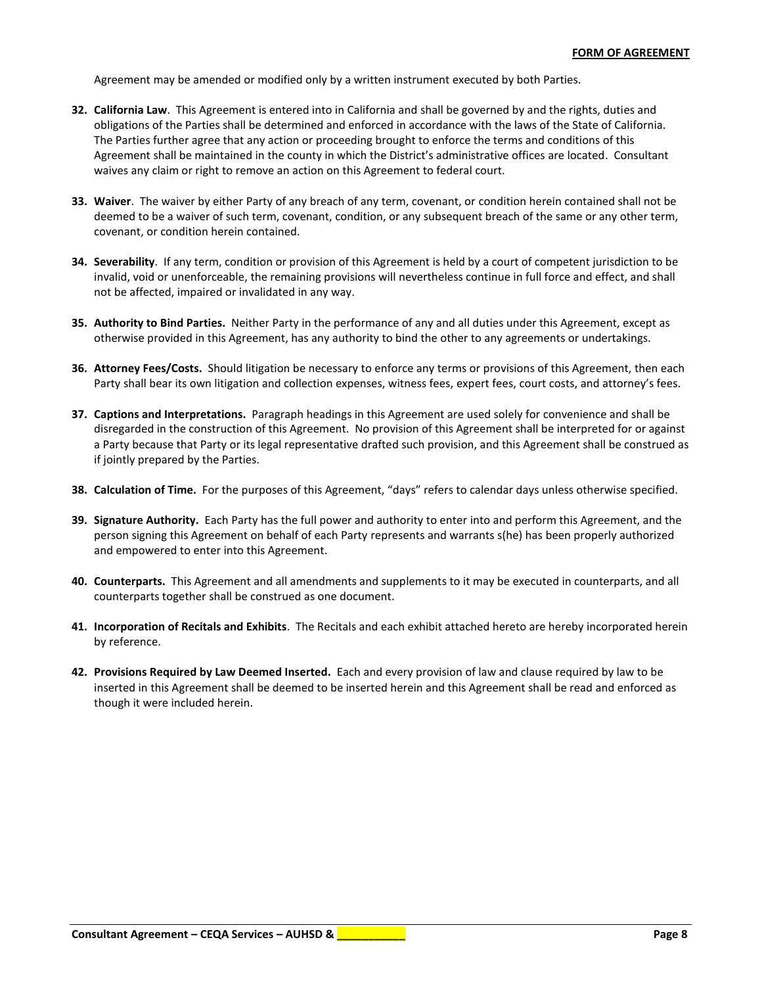Agreement may be amended or modified only by a written instrument executed by both Parties.

- **32. California Law**. This Agreement is entered into in California and shall be governed by and the rights, duties and obligations of the Parties shall be determined and enforced in accordance with the laws of the State of California. The Parties further agree that any action or proceeding brought to enforce the terms and conditions of this Agreement shall be maintained in the county in which the District's administrative offices are located. Consultant waives any claim or right to remove an action on this Agreement to federal court.
- **33. Waiver**. The waiver by either Party of any breach of any term, covenant, or condition herein contained shall not be deemed to be a waiver of such term, covenant, condition, or any subsequent breach of the same or any other term, covenant, or condition herein contained.
- **34. Severability**. If any term, condition or provision of this Agreement is held by a court of competent jurisdiction to be invalid, void or unenforceable, the remaining provisions will nevertheless continue in full force and effect, and shall not be affected, impaired or invalidated in any way.
- **35. Authority to Bind Parties.** Neither Party in the performance of any and all duties under this Agreement, except as otherwise provided in this Agreement, has any authority to bind the other to any agreements or undertakings.
- **36. Attorney Fees/Costs.** Should litigation be necessary to enforce any terms or provisions of this Agreement, then each Party shall bear its own litigation and collection expenses, witness fees, expert fees, court costs, and attorney's fees.
- **37. Captions and Interpretations.** Paragraph headings in this Agreement are used solely for convenience and shall be disregarded in the construction of this Agreement. No provision of this Agreement shall be interpreted for or against a Party because that Party or its legal representative drafted such provision, and this Agreement shall be construed as if jointly prepared by the Parties.
- **38. Calculation of Time.** For the purposes of this Agreement, "days" refers to calendar days unless otherwise specified.
- **39. Signature Authority.** Each Party has the full power and authority to enter into and perform this Agreement, and the person signing this Agreement on behalf of each Party represents and warrants s(he) has been properly authorized and empowered to enter into this Agreement.
- **40. Counterparts.** This Agreement and all amendments and supplements to it may be executed in counterparts, and all counterparts together shall be construed as one document.
- **41. Incorporation of Recitals and Exhibits**. The Recitals and each exhibit attached hereto are hereby incorporated herein by reference.
- **42. Provisions Required by Law Deemed Inserted.** Each and every provision of law and clause required by law to be inserted in this Agreement shall be deemed to be inserted herein and this Agreement shall be read and enforced as though it were included herein.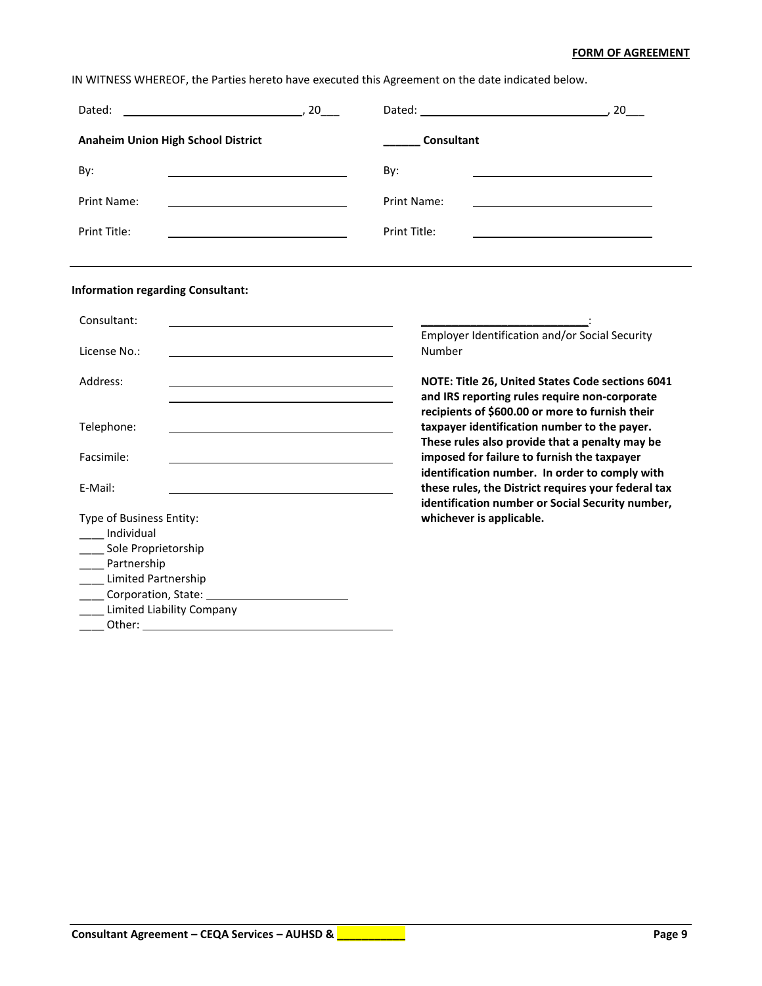## **FORM OF AGREEMENT**

IN WITNESS WHEREOF, the Parties hereto have executed this Agreement on the date indicated below.

| $\overline{\phantom{a}}$ , 20<br>Dated:                                                                                            |                                                                                                                                                                                                    |
|------------------------------------------------------------------------------------------------------------------------------------|----------------------------------------------------------------------------------------------------------------------------------------------------------------------------------------------------|
| <b>Anaheim Union High School District</b>                                                                                          | <b>Consultant</b>                                                                                                                                                                                  |
| By:                                                                                                                                | By:                                                                                                                                                                                                |
| <b>Print Name:</b>                                                                                                                 | Print Name:                                                                                                                                                                                        |
| Print Title:                                                                                                                       | Print Title:                                                                                                                                                                                       |
| <b>Information regarding Consultant:</b>                                                                                           |                                                                                                                                                                                                    |
| Consultant:                                                                                                                        |                                                                                                                                                                                                    |
| License No.:                                                                                                                       | Employer Identification and/or Social Security<br>Number                                                                                                                                           |
| Address:<br><u> 1989 - Johann Barn, mars ann an t-Amhain an t-Amhain ann an t-Amhain an t-Amhain an t-Amhain an t-Amhain an t-</u> | NOTE: Title 26, United States Code sections 6041                                                                                                                                                   |
| Telephone:                                                                                                                         | and IRS reporting rules require non-corporate<br>recipients of \$600.00 or more to furnish their<br>taxpayer identification number to the payer.<br>These rules also provide that a penalty may be |
| Facsimile:                                                                                                                         | imposed for failure to furnish the taxpayer<br>identification number. In order to comply with                                                                                                      |
| E-Mail:                                                                                                                            | these rules, the District requires your federal tax<br>identification number or Social Security number,                                                                                            |
| Type of Business Entity:<br>Individual                                                                                             | whichever is applicable.                                                                                                                                                                           |
| Sole Proprietorship                                                                                                                |                                                                                                                                                                                                    |
| ____ Partnership<br>Limited Partnership                                                                                            |                                                                                                                                                                                                    |
|                                                                                                                                    |                                                                                                                                                                                                    |
| <b>Limited Liability Company</b>                                                                                                   |                                                                                                                                                                                                    |
| Other:<br><u> 1980 - Johann Barn, mars ann an t-Amhain Aonaich an t-Aonaich an t-Aonaich an t-Aonaich an t-Aonaich an t-Aon</u>    |                                                                                                                                                                                                    |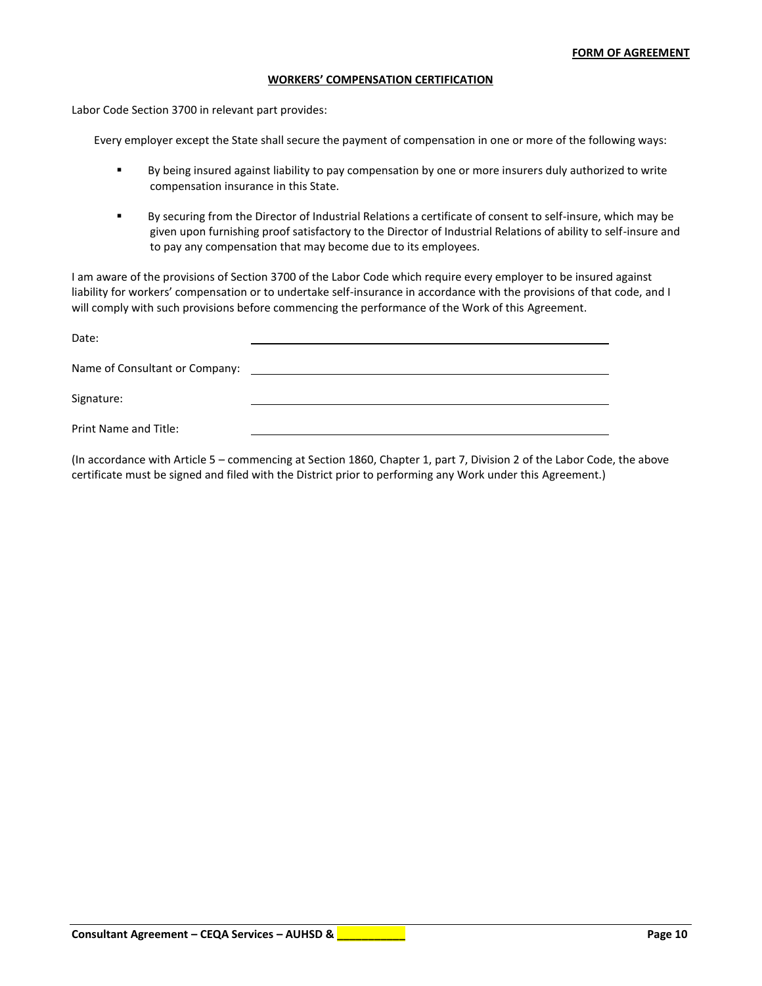#### **WORKERS' COMPENSATION CERTIFICATION**

Labor Code Section 3700 in relevant part provides:

Every employer except the State shall secure the payment of compensation in one or more of the following ways:

- By being insured against liability to pay compensation by one or more insurers duly authorized to write compensation insurance in this State.
- By securing from the Director of Industrial Relations a certificate of consent to self-insure, which may be given upon furnishing proof satisfactory to the Director of Industrial Relations of ability to self-insure and to pay any compensation that may become due to its employees.

I am aware of the provisions of Section 3700 of the Labor Code which require every employer to be insured against liability for workers' compensation or to undertake self-insurance in accordance with the provisions of that code, and I will comply with such provisions before commencing the performance of the Work of this Agreement.

| Date:                          |  |
|--------------------------------|--|
| Name of Consultant or Company: |  |
| Signature:                     |  |
| Print Name and Title:          |  |

(In accordance with Article 5 – commencing at Section 1860, Chapter 1, part 7, Division 2 of the Labor Code, the above certificate must be signed and filed with the District prior to performing any Work under this Agreement.)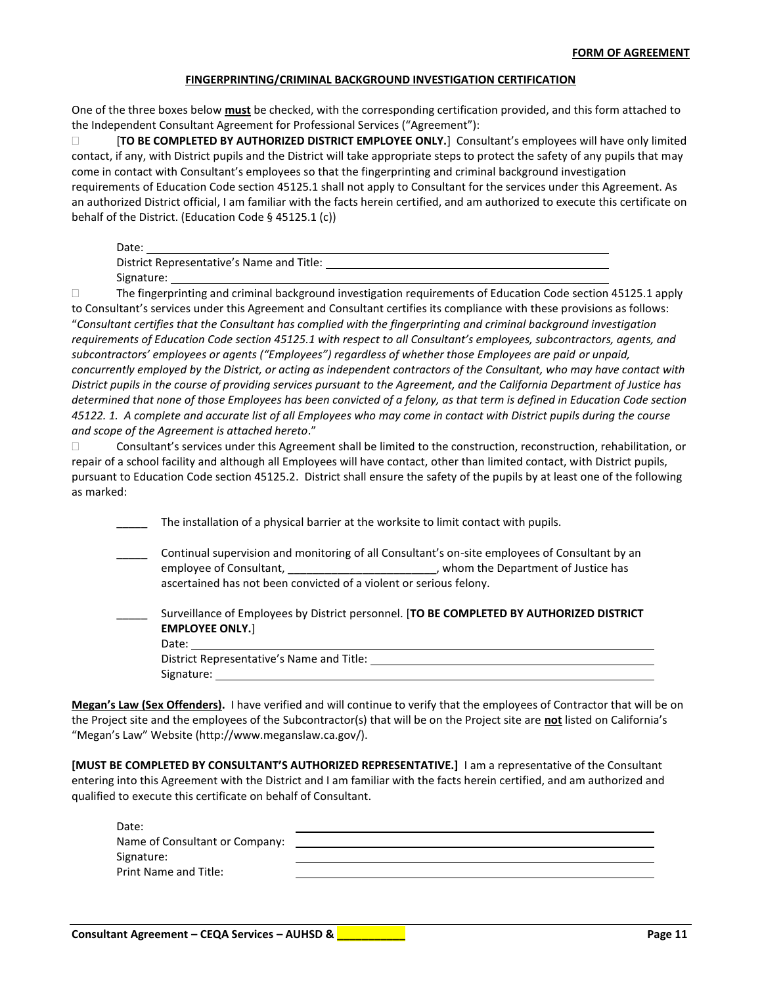### **FINGERPRINTING/CRIMINAL BACKGROUND INVESTIGATION CERTIFICATION**

One of the three boxes below **must** be checked, with the corresponding certification provided, and this form attached to the Independent Consultant Agreement for Professional Services ("Agreement"):

 [**TO BE COMPLETED BY AUTHORIZED DISTRICT EMPLOYEE ONLY.**] Consultant's employees will have only limited contact, if any, with District pupils and the District will take appropriate steps to protect the safety of any pupils that may come in contact with Consultant's employees so that the fingerprinting and criminal background investigation requirements of Education Code section 45125.1 shall not apply to Consultant for the services under this Agreement. As an authorized District official, I am familiar with the facts herein certified, and am authorized to execute this certificate on behalf of the District. (Education Code § 45125.1 (c))

| Date:                                     |  |
|-------------------------------------------|--|
| District Representative's Name and Title: |  |
| Signature:                                |  |

 The fingerprinting and criminal background investigation requirements of Education Code section 45125.1 apply to Consultant's services under this Agreement and Consultant certifies its compliance with these provisions as follows: "*Consultant certifies that the Consultant has complied with the fingerprinting and criminal background investigation requirements of Education Code section 45125.1 with respect to all Consultant's employees, subcontractors, agents, and subcontractors' employees or agents ("Employees") regardless of whether those Employees are paid or unpaid, concurrently employed by the District, or acting as independent contractors of the Consultant, who may have contact with District pupils in the course of providing services pursuant to the Agreement, and the California Department of Justice has determined that none of those Employees has been convicted of a felony, as that term is defined in Education Code section 45122. 1. A complete and accurate list of all Employees who may come in contact with District pupils during the course and scope of the Agreement is attached hereto*."

 Consultant's services under this Agreement shall be limited to the construction, reconstruction, rehabilitation, or repair of a school facility and although all Employees will have contact, other than limited contact, with District pupils, pursuant to Education Code section 45125.2. District shall ensure the safety of the pupils by at least one of the following as marked:

| The installation of a physical barrier at the worksite to limit contact with pupils.                                                                                                                                                                                 |
|----------------------------------------------------------------------------------------------------------------------------------------------------------------------------------------------------------------------------------------------------------------------|
| Continual supervision and monitoring of all Consultant's on-site employees of Consultant by an<br>employee of Consultant, ________________________________, whom the Department of Justice has<br>ascertained has not been convicted of a violent or serious felony. |
| Surveillance of Employees by District personnel. [TO BE COMPLETED BY AUTHORIZED DISTRICT<br><b>EMPLOYEE ONLY.</b> ]<br>Date:                                                                                                                                         |
| District Representative's Name and Title:                                                                                                                                                                                                                            |
| Signature:                                                                                                                                                                                                                                                           |

**Megan's Law (Sex Offenders).** I have verified and will continue to verify that the employees of Contractor that will be on the Project site and the employees of the Subcontractor(s) that will be on the Project site are **not** listed on California's "Megan's Law" Website (http://www.meganslaw.ca.gov/).

**[MUST BE COMPLETED BY CONSULTANT'S AUTHORIZED REPRESENTATIVE.]** I am a representative of the Consultant entering into this Agreement with the District and I am familiar with the facts herein certified, and am authorized and qualified to execute this certificate on behalf of Consultant.

| Date:                          |  |
|--------------------------------|--|
| Name of Consultant or Company: |  |
| Signature:                     |  |
| <b>Print Name and Title:</b>   |  |
|                                |  |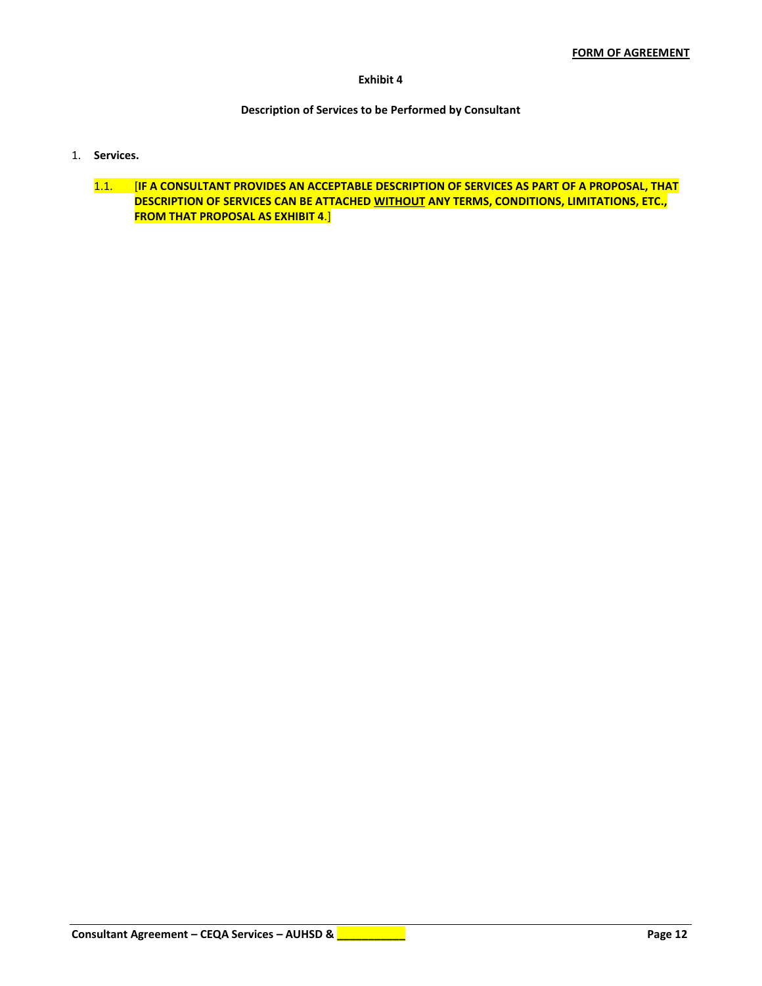### **Exhibit 4**

## **Description of Services to be Performed by Consultant**

- 1. **Services.**
	- 1.1. [**IF A CONSULTANT PROVIDES AN ACCEPTABLE DESCRIPTION OF SERVICES AS PART OF A PROPOSAL, THAT DESCRIPTION OF SERVICES CAN BE ATTACHED WITHOUT ANY TERMS, CONDITIONS, LIMITATIONS, ETC., FROM THAT PROPOSAL AS EXHIBIT 4**.]